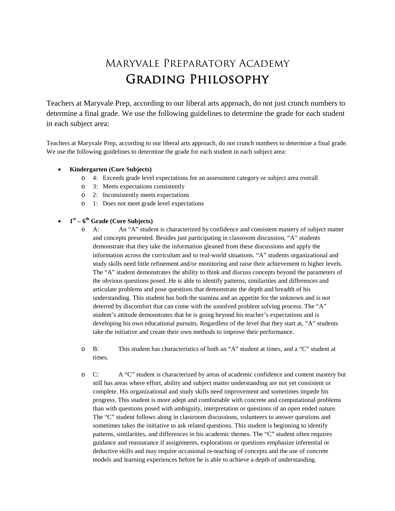## Maryvale Preparatory Academy Grading Philosophy

Teachers at Maryvale Prep, according to our liberal arts approach, do not just crunch numbers to determine a final grade. We use the following guidelines to determine the grade for each student in each subject area:

Teachers at Maryvale Prep, according to our liberal arts approach, do not crunch numbers to determine a final grade. We use the following guidelines to determine the grade for each student in each subject area:

- **Kindergarten (Core Subjects)**
	- o 4: Exceeds grade level expectations for an assessment category or subject area overall
	- o 3: Meets expectations consistently
	- o 2: Inconsistently meets expectations
	- o 1: Does not meet grade level expectations

## • **1st – 6th Grade (Core Subjects)**

- o A: An "A" student is characterized by confidence and consistent mastery of subject matter and concepts presented. Besides just participating in classroom discussion, "A" students demonstrate that they take the information gleaned from these discussions and apply the information across the curriculum and to real-world situations. "A" students organizational and study skills need little refinement and/or monitoring and raise their achievement to higher levels. The "A" student demonstrates the ability to think and discuss concepts beyond the parameters of the obvious questions posed. He is able to identify patterns, similarities and differences and articulate problems and pose questions that demonstrate the depth and breadth of his understanding. This student has both the stamina and an appetite for the unknown and is not deterred by discomfort that can come with the unsolved problem solving process. The "A" student's attitude demonstrates that he is going beyond his teacher's expectations and is developing his own educational pursuits. Regardless of the level that they start at, "A" students take the initiative and create their own methods to improve their performance.
- o B: This student has characteristics of both an "A" student at times, and a "C" student at times.
- o C: A "C" student is characterized by areas of academic confidence and content mastery but still has areas where effort, ability and subject matter understanding are not yet consistent or complete. His organizational and study skills need improvement and sometimes impede his progress. This student is more adept and comfortable with concrete and computational problems than with questions posed with ambiguity, interpretation or questions of an open ended nature. The "C" student follows along in classroom discussions, volunteers to answer questions and sometimes takes the initiative to ask related questions. This student is beginning to identify patterns, similarities, and differences in his academic themes. The "C" student often requires guidance and reassurance if assignments, explorations or questions emphasize inferential or deductive skills and may require occasional re-teaching of concepts and the use of concrete models and learning experiences before he is able to achieve a depth of understanding.